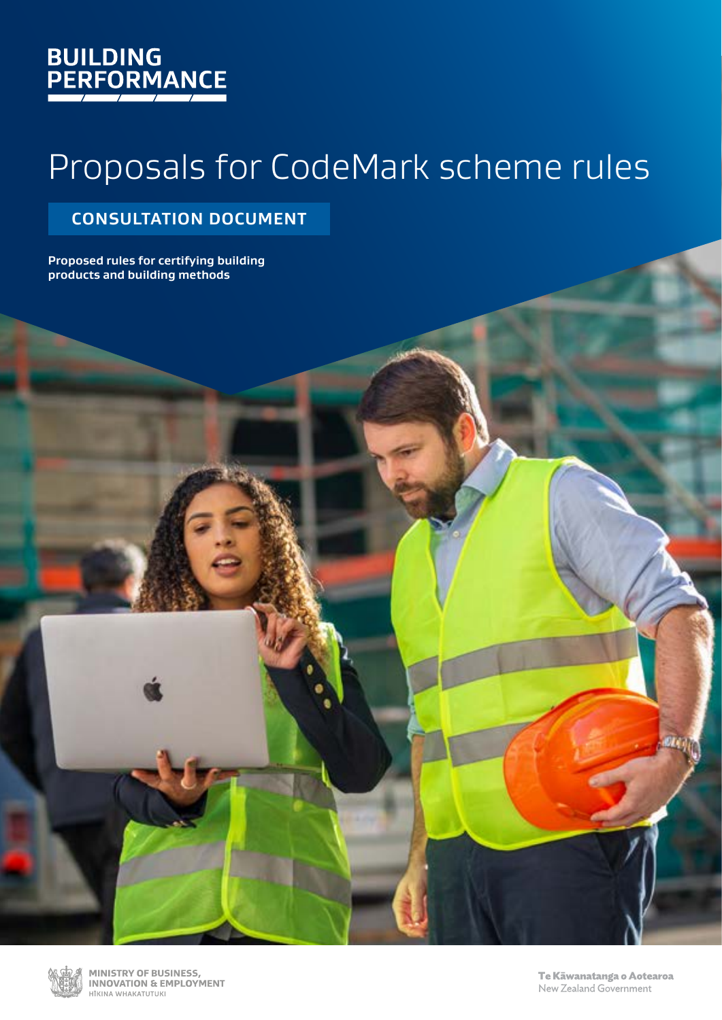# **BUILDING<br>PERFORMANCE**

# Proposals for CodeMark scheme rules

### **CONSULTATION DOCUMENT**

**Proposed rules for certifying building products and building methods**



**PAGE 101 PROPOSALS FOR CONFERENCES**<br>PROPOSATION & EMPLOYMENT RULES FOR CONFERENCE RULES FOR CONFERENCE AND TO THE SCHEME RULES HTKINA WHAKATUTUKI

New Zealand Government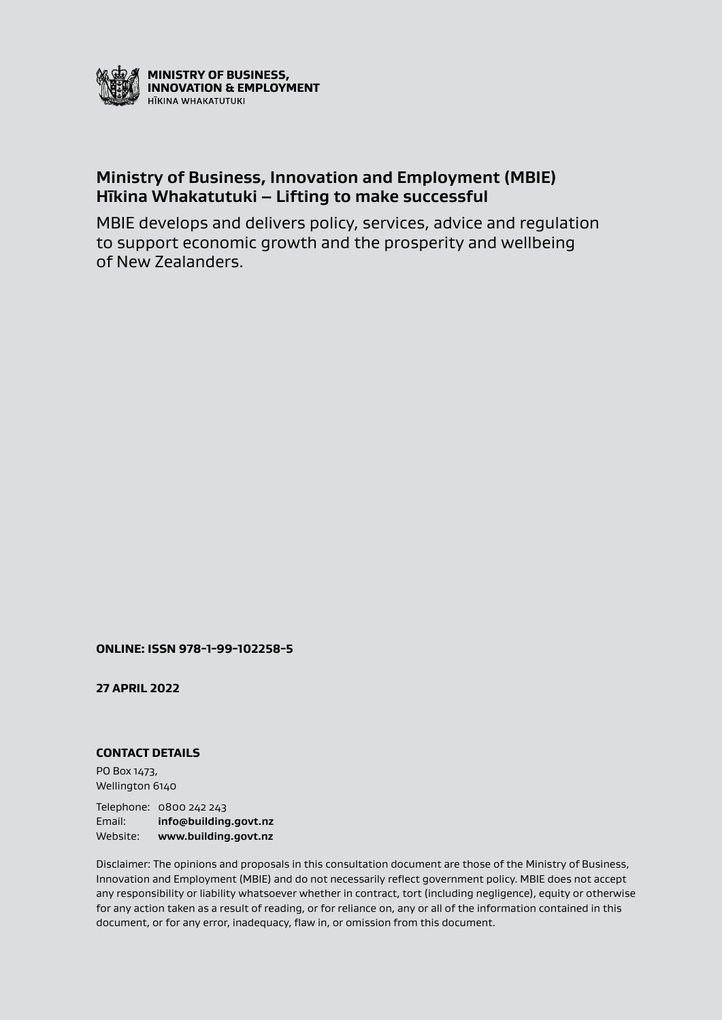

### **Ministry of Business, Innovation and Employment (MBIE) Hīkina Whakatutuki – Lifting to make successful**

MBIE develops and delivers policy, services, advice and regulation to support economic growth and the prosperity and wellbeing of New Zealanders.

**ONLINE: ISSN 978-1-99-102258-5**

**27 APRIL 2022**

#### **CONTACT DETAILS**

PO Box 1473, Wellington 6140

Telephone: 0800 242 243 Email: **[info@building.govt.nz](mailto:mailto:info%40building.govt.nz?subject=)** Website: **[www.building.govt.nz](http://www.building.govt.nz)**

Disclaimer: The opinions and proposals in this consultation document are those of the Ministry of Business, Innovation and Employment (MBIE) and do not necessarily reflect government policy. MBIE does not accept any responsibility or liability whatsoever whether in contract, tort (including negligence), equity or otherwise for any action taken as a result of reading, or for reliance on, any or all of the information contained in this document, or for any error, inadequacy, flaw in, or omission from this document.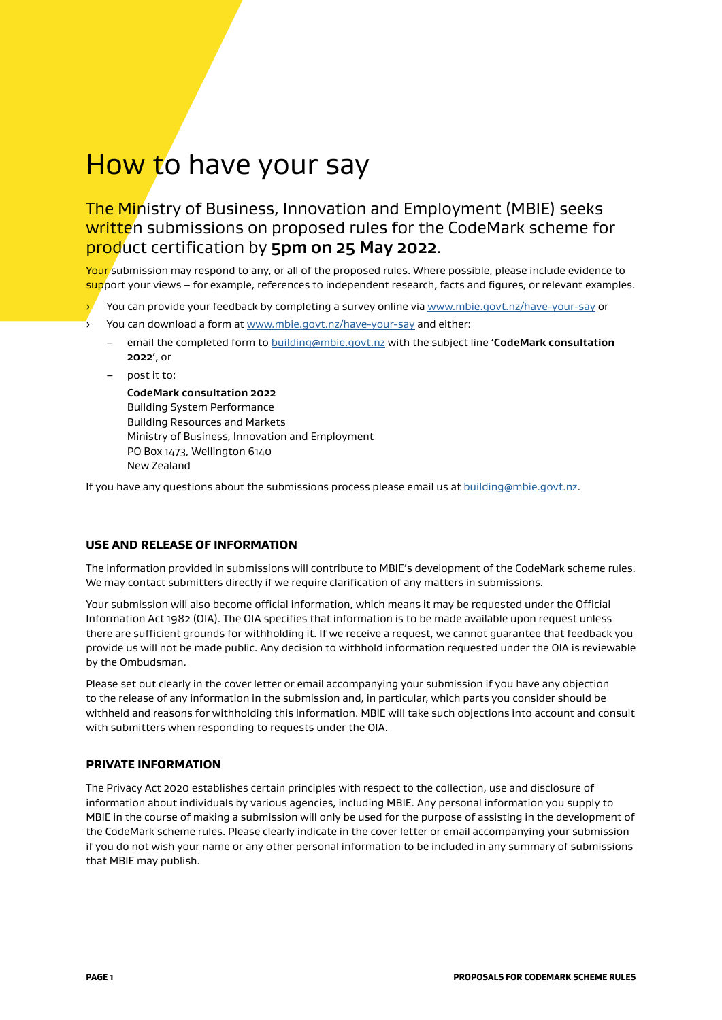# How to have your say

### The Ministry of Business, Innovation and Employment (MBIE) seeks written submissions on proposed rules for the CodeMark scheme for product certification by **5pm on 25 May 2022**.

Your submission may respond to any, or all of the proposed rules. Where possible, please include evidence to support your views – for example, references to independent research, facts and figures, or relevant examples.

You can provide your feedback by completing a survey online via [www.mbie.govt.nz/have-your-say](http://www.mbie.govt.nz/have-your-say) or

- You can download a form at [www.mbie.govt.nz/have-your-say](http://www.mbie.govt.nz/have-your-say) and either:
	- email the completed form to [building@mbie.govt.nz](mailto:building@mbie.govt.nz) with the subject line '**CodeMark consultation 2022**', or
- post it to:

**CodeMark consultation 2022** Building System Performance Building Resources and Markets Ministry of Business, Innovation and Employment PO Box 1473, Wellington 6140 New Zealand

If you have any questions about the submissions process please email us at [building@mbie.govt.nz](mailto:building@mbie.govt.nz).

#### **USE AND RELEASE OF INFORMATION**

The information provided in submissions will contribute to MBIE's development of the CodeMark scheme rules. We may contact submitters directly if we require clarification of any matters in submissions.

Your submission will also become official information, which means it may be requested under the Official Information Act 1982 (OIA). The OIA specifies that information is to be made available upon request unless there are sufficient grounds for withholding it. If we receive a request, we cannot guarantee that feedback you provide us will not be made public. Any decision to withhold information requested under the OIA is reviewable by the Ombudsman.

Please set out clearly in the cover letter or email accompanying your submission if you have any objection to the release of any information in the submission and, in particular, which parts you consider should be withheld and reasons for withholding this information. MBIE will take such objections into account and consult with submitters when responding to requests under the OIA.

#### **PRIVATE INFORMATION**

The Privacy Act 2020 establishes certain principles with respect to the collection, use and disclosure of information about individuals by various agencies, including MBIE. Any personal information you supply to MBIE in the course of making a submission will only be used for the purpose of assisting in the development of the CodeMark scheme rules. Please clearly indicate in the cover letter or email accompanying your submission if you do not wish your name or any other personal information to be included in any summary of submissions that MBIE may publish.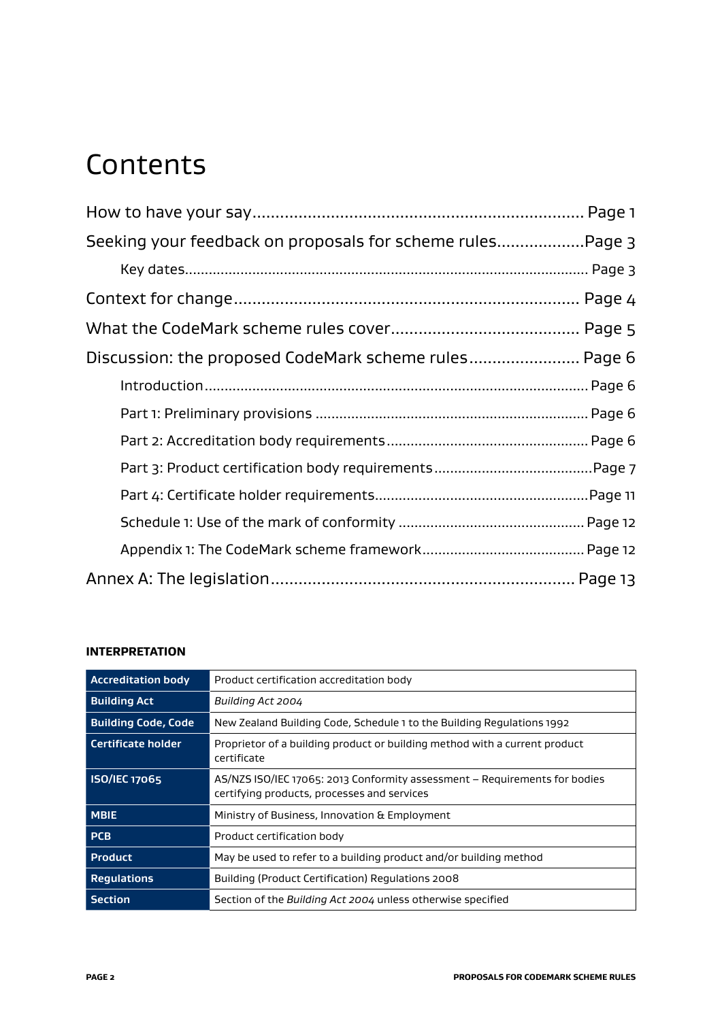### **Contents**

| Seeking your feedback on proposals for scheme rulesPage 3 |  |
|-----------------------------------------------------------|--|
|                                                           |  |
|                                                           |  |
|                                                           |  |
| Discussion: the proposed CodeMark scheme rules Page 6     |  |
|                                                           |  |
|                                                           |  |
|                                                           |  |
|                                                           |  |
|                                                           |  |
|                                                           |  |
|                                                           |  |
|                                                           |  |

#### **INTERPRETATION**

| <b>Accreditation body</b>  | Product certification accreditation body                                                                                  |
|----------------------------|---------------------------------------------------------------------------------------------------------------------------|
| <b>Building Act</b>        | Building Act 2004                                                                                                         |
| <b>Building Code, Code</b> | New Zealand Building Code, Schedule 1 to the Building Regulations 1992                                                    |
| Certificate holder         | Proprietor of a building product or building method with a current product<br>certificate                                 |
| <b>ISO/IEC 17065</b>       | AS/NZS ISO/IEC 17065: 2013 Conformity assessment - Requirements for bodies<br>certifying products, processes and services |
| <b>MBIE</b>                | Ministry of Business, Innovation & Employment                                                                             |
| <b>PCB</b>                 | Product certification body                                                                                                |
| <b>Product</b>             | May be used to refer to a building product and/or building method                                                         |
| <b>Regulations</b>         | Building (Product Certification) Regulations 2008                                                                         |
| <b>Section</b>             | Section of the Building Act 2004 unless otherwise specified                                                               |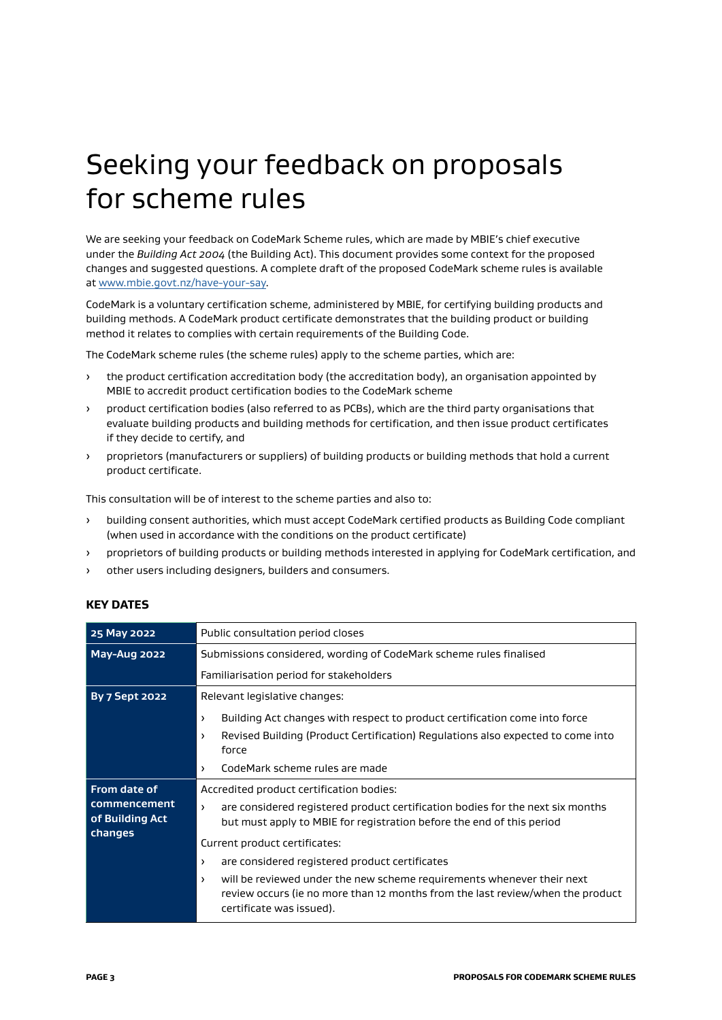### Seeking your feedback on proposals for scheme rules

We are seeking your feedback on CodeMark Scheme rules, which are made by MBIE's chief executive under the *Building Act 2004* (the Building Act). This document provides some context for the proposed changes and suggested questions. A complete draft of the proposed CodeMark scheme rules is available at [www.mbie.govt.nz/have-your-say](http://www.mbie.govt.nz/have-your-say).

CodeMark is a voluntary certification scheme, administered by MBIE, for certifying building products and building methods. A CodeMark product certificate demonstrates that the building product or building method it relates to complies with certain requirements of the Building Code.

The CodeMark scheme rules (the scheme rules) apply to the scheme parties, which are:

- › the product certification accreditation body (the accreditation body), an organisation appointed by MBIE to accredit product certification bodies to the CodeMark scheme
- › product certification bodies (also referred to as PCBs), which are the third party organisations that evaluate building products and building methods for certification, and then issue product certificates if they decide to certify, and
- › proprietors (manufacturers or suppliers) of building products or building methods that hold a current product certificate.

This consultation will be of interest to the scheme parties and also to:

- › building consent authorities, which must accept CodeMark certified products as Building Code compliant (when used in accordance with the conditions on the product certificate)
- › proprietors of building products or building methods interested in applying for CodeMark certification, and
- › other users including designers, builders and consumers.

#### **KEY DATES**

| 25 May 2022           | Public consultation period closes                                                                                                                                                                 |
|-----------------------|---------------------------------------------------------------------------------------------------------------------------------------------------------------------------------------------------|
| May-Aug 2022          | Submissions considered, wording of CodeMark scheme rules finalised                                                                                                                                |
|                       | Familiarisation period for stakeholders                                                                                                                                                           |
| <b>By 7 Sept 2022</b> | Relevant legislative changes:                                                                                                                                                                     |
|                       | Building Act changes with respect to product certification come into force<br>$\rightarrow$                                                                                                       |
|                       | Revised Building (Product Certification) Regulations also expected to come into<br>$\lambda$                                                                                                      |
|                       | force                                                                                                                                                                                             |
|                       | CodeMark scheme rules are made<br>$\lambda$                                                                                                                                                       |
| From date of          | Accredited product certification bodies:                                                                                                                                                          |
| commencement          | are considered registered product certification bodies for the next six months<br>$\lambda$                                                                                                       |
| of Building Act       | but must apply to MBIE for registration before the end of this period                                                                                                                             |
| changes               | Current product certificates:                                                                                                                                                                     |
|                       | are considered registered product certificates<br>$\rightarrow$                                                                                                                                   |
|                       | will be reviewed under the new scheme requirements whenever their next<br>$\lambda$<br>review occurs (ie no more than 12 months from the last review/when the product<br>certificate was issued). |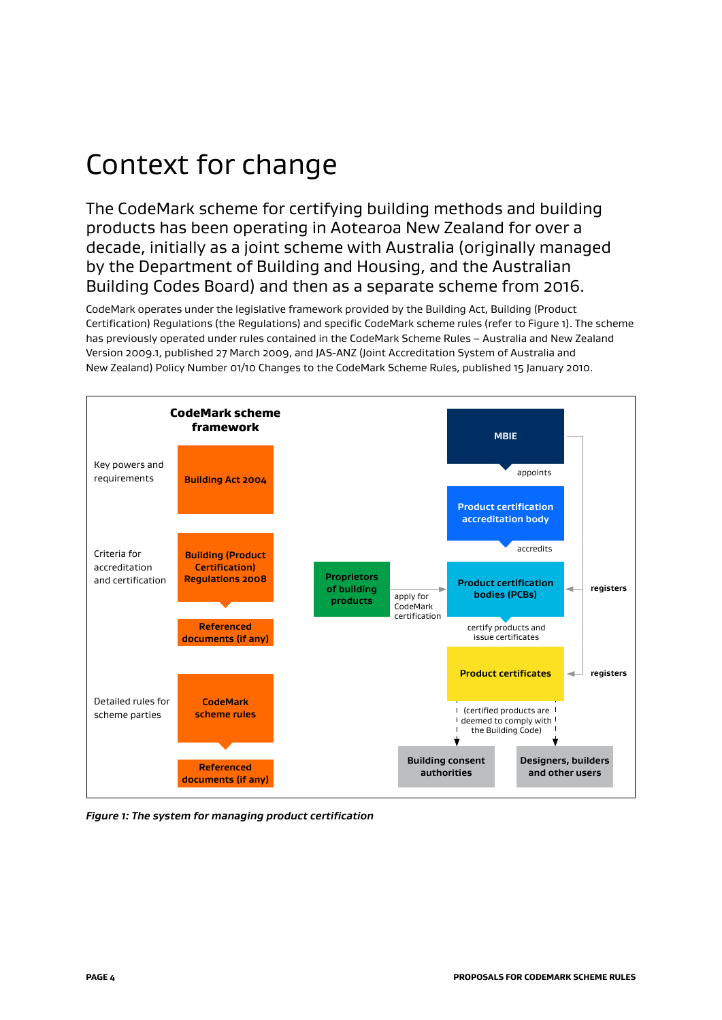## Context for change

The CodeMark scheme for certifying building methods and building products has been operating in Aotearoa New Zealand for over a decade, initially as a joint scheme with Australia (originally managed by the Department of Building and Housing, and the Australian Building Codes Board) and then as a separate scheme from 2016.

CodeMark operates under the legislative framework provided by the Building Act, Building (Product Certification) Regulations (the Regulations) and specific CodeMark scheme rules (refer to Figure 1). The scheme has previously operated under rules contained in the CodeMark Scheme Rules – Australia and New Zealand Version 2009.1, published 27 March 2009, and JAS-ANZ (Joint Accreditation System of Australia and New Zealand) Policy Number 01/10 Changes to the CodeMark Scheme Rules, published 15 January 2010.



*Figure 1: The system for managing product certification*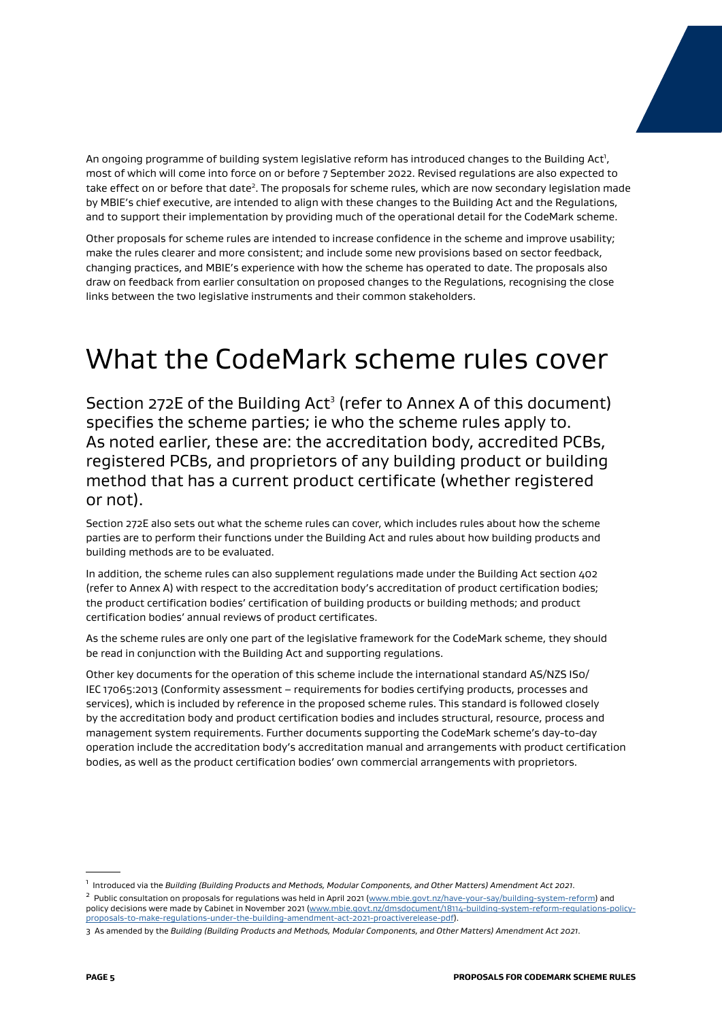An ongoing programme of building system legislative reform has introduced changes to the Building Act<sup>1</sup>, most of which will come into force on or before 7 September 2022. Revised regulations are also expected to take effect on or before that date<sup>2</sup>. The proposals for scheme rules, which are now secondary legislation made by MBIE's chief executive, are intended to align with these changes to the Building Act and the Regulations, and to support their implementation by providing much of the operational detail for the CodeMark scheme.

Other proposals for scheme rules are intended to increase confidence in the scheme and improve usability; make the rules clearer and more consistent; and include some new provisions based on sector feedback, changing practices, and MBIE's experience with how the scheme has operated to date. The proposals also draw on feedback from earlier consultation on proposed changes to the Regulations, recognising the close links between the two legislative instruments and their common stakeholders.

### What the CodeMark scheme rules cover

Section 272E of the Building Act<sup>3</sup> (refer to Annex A of this document) specifies the scheme parties; ie who the scheme rules apply to. As noted earlier, these are: the accreditation body, accredited PCBs, registered PCBs, and proprietors of any building product or building method that has a current product certificate (whether registered or not).

Section 272E also sets out what the scheme rules can cover, which includes rules about how the scheme parties are to perform their functions under the Building Act and rules about how building products and building methods are to be evaluated.

In addition, the scheme rules can also supplement regulations made under the Building Act section 402 (refer to Annex A) with respect to the accreditation body's accreditation of product certification bodies; the product certification bodies' certification of building products or building methods; and product certification bodies' annual reviews of product certificates.

As the scheme rules are only one part of the legislative framework for the CodeMark scheme, they should be read in conjunction with the Building Act and supporting regulations.

Other key documents for the operation of this scheme include the international standard AS/NZS IS0/ IEC 17065:2013 (Conformity assessment – requirements for bodies certifying products, processes and services), which is included by reference in the proposed scheme rules. This standard is followed closely by the accreditation body and product certification bodies and includes structural, resource, process and management system requirements. Further documents supporting the CodeMark scheme's day-to-day operation include the accreditation body's accreditation manual and arrangements with product certification bodies, as well as the product certification bodies' own commercial arrangements with proprietors.

<sup>2</sup> Public consultation on proposals for regulations was held in April 2021 [\(www.mbie.govt.nz/have-your-say/building-system-reform\)](http://www.mbie.govt.nz/have-your-say/building-system-reform) and policy decisions were made by Cabinet in November 2021 [\(www.mbie.govt.nz/dmsdocument/18114-building-system-reform-regulations-policy](https://www.mbie.govt.nz/dmsdocument/18114-building-system-reform-regulations-policy-proposals-to-make-regulations-under-the-building-amendment-act-2021-proactiverelease-pdf)[proposals-to-make-regulations-under-the-building-amendment-act-2021-proactiverelease-pdf](https://www.mbie.govt.nz/dmsdocument/18114-building-system-reform-regulations-policy-proposals-to-make-regulations-under-the-building-amendment-act-2021-proactiverelease-pdf)).

<sup>1</sup> Introduced via the *Building (Building Products and Methods, Modular Components, and Other Matters) Amendment Act 2021*.

<sup>3</sup> As amended by the *Building (Building Products and Methods, Modular Components, and Other Matters) Amendment Act 2021*.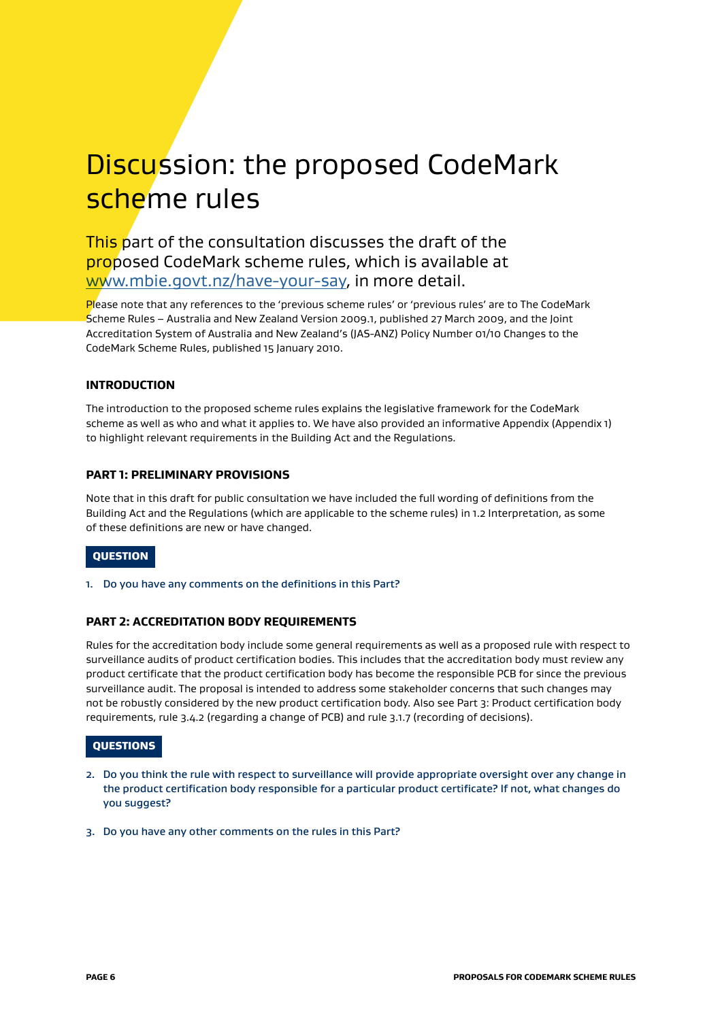### Discussion: the proposed CodeMark scheme rules

### This part of the consultation discusses the draft of the proposed CodeMark scheme rules, which is available at [www.mbie.govt.nz/have-your-say](http://www.mbie.govt.nz/have-your-say), in more detail.

Please note that any references to the 'previous scheme rules' or 'previous rules' are to The CodeMark Scheme Rules – Australia and New Zealand Version 2009.1, published 27 March 2009, and the Joint Accreditation System of Australia and New Zealand's (JAS-ANZ) Policy Number 01/10 Changes to the CodeMark Scheme Rules, published 15 January 2010.

#### **INTRODUCTION**

The introduction to the proposed scheme rules explains the legislative framework for the CodeMark scheme as well as who and what it applies to. We have also provided an informative Appendix (Appendix 1) to highlight relevant requirements in the Building Act and the Regulations.

#### **PART 1: PRELIMINARY PROVISIONS**

Note that in this draft for public consultation we have included the full wording of definitions from the Building Act and the Regulations (which are applicable to the scheme rules) in 1.2 Interpretation, as some of these definitions are new or have changed.

#### **OUESTION**

1. Do you have any comments on the definitions in this Part?

#### **PART 2: ACCREDITATION BODY REQUIREMENTS**

Rules for the accreditation body include some general requirements as well as a proposed rule with respect to surveillance audits of product certification bodies. This includes that the accreditation body must review any product certificate that the product certification body has become the responsible PCB for since the previous surveillance audit. The proposal is intended to address some stakeholder concerns that such changes may not be robustly considered by the new product certification body. Also see Part 3: Product certification body requirements, rule 3.4.2 (regarding a change of PCB) and rule 3.1.7 (recording of decisions).

#### **QUESTIONS**

- 2. Do you think the rule with respect to surveillance will provide appropriate oversight over any change in the product certification body responsible for a particular product certificate? If not, what changes do you suggest?
- 3. Do you have any other comments on the rules in this Part?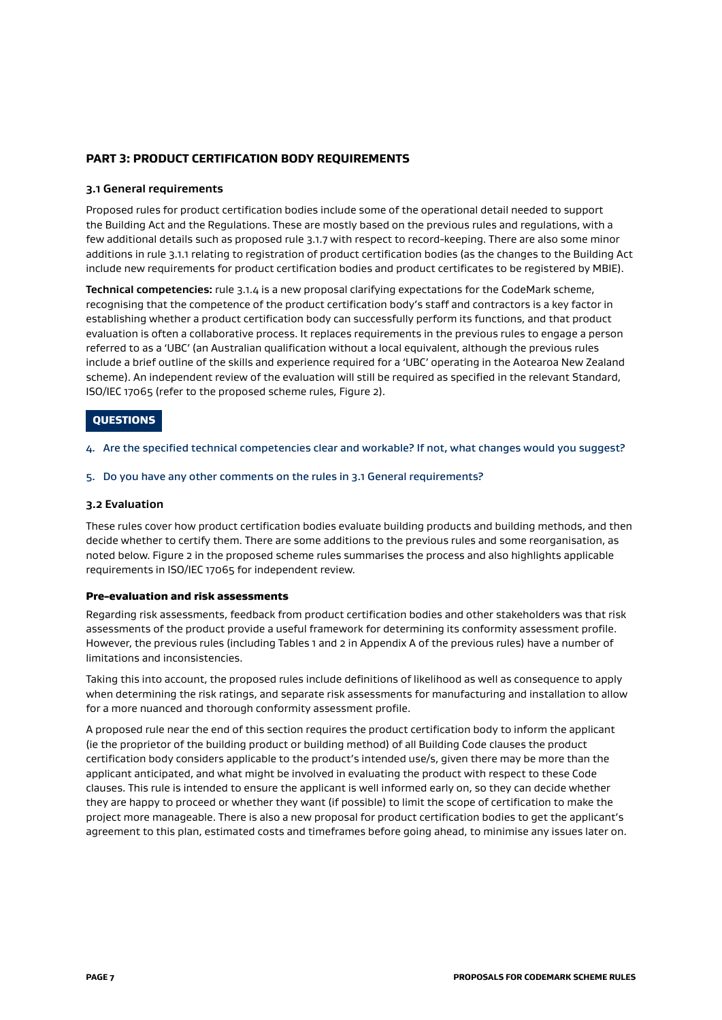#### **PART 3: PRODUCT CERTIFICATION BODY REQUIREMENTS**

#### **3.1 General requirements**

Proposed rules for product certification bodies include some of the operational detail needed to support the Building Act and the Regulations. These are mostly based on the previous rules and regulations, with a few additional details such as proposed rule 3.1.7 with respect to record-keeping. There are also some minor additions in rule 3.1.1 relating to registration of product certification bodies (as the changes to the Building Act include new requirements for product certification bodies and product certificates to be registered by MBIE).

**Technical competencies:** rule 3.1.4 is a new proposal clarifying expectations for the CodeMark scheme, recognising that the competence of the product certification body's staff and contractors is a key factor in establishing whether a product certification body can successfully perform its functions, and that product evaluation is often a collaborative process. It replaces requirements in the previous rules to engage a person referred to as a 'UBC' (an Australian qualification without a local equivalent, although the previous rules include a brief outline of the skills and experience required for a 'UBC' operating in the Aotearoa New Zealand scheme). An independent review of the evaluation will still be required as specified in the relevant Standard, ISO/IEC 17065 (refer to the proposed scheme rules, Figure 2).

#### **QUESTIONS**

4. Are the specified technical competencies clear and workable? If not, what changes would you suggest?

#### 5. Do you have any other comments on the rules in 3.1 General requirements?

#### **3.2 Evaluation**

These rules cover how product certification bodies evaluate building products and building methods, and then decide whether to certify them. There are some additions to the previous rules and some reorganisation, as noted below. Figure 2 in the proposed scheme rules summarises the process and also highlights applicable requirements in ISO/IEC 17065 for independent review.

#### Pre-evaluation and risk assessments

Regarding risk assessments, feedback from product certification bodies and other stakeholders was that risk assessments of the product provide a useful framework for determining its conformity assessment profile. However, the previous rules (including Tables 1 and 2 in Appendix A of the previous rules) have a number of limitations and inconsistencies.

Taking this into account, the proposed rules include definitions of likelihood as well as consequence to apply when determining the risk ratings, and separate risk assessments for manufacturing and installation to allow for a more nuanced and thorough conformity assessment profile.

A proposed rule near the end of this section requires the product certification body to inform the applicant (ie the proprietor of the building product or building method) of all Building Code clauses the product certification body considers applicable to the product's intended use/s, given there may be more than the applicant anticipated, and what might be involved in evaluating the product with respect to these Code clauses. This rule is intended to ensure the applicant is well informed early on, so they can decide whether they are happy to proceed or whether they want (if possible) to limit the scope of certification to make the project more manageable. There is also a new proposal for product certification bodies to get the applicant's agreement to this plan, estimated costs and timeframes before going ahead, to minimise any issues later on.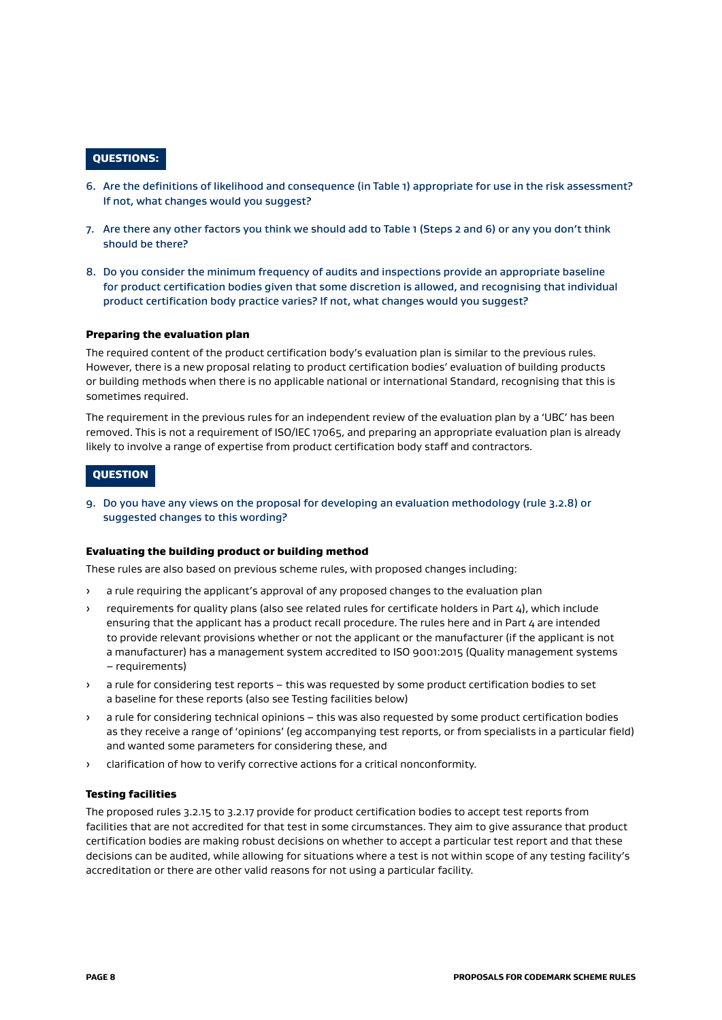#### QUESTIONS:

- 6. Are the definitions of likelihood and consequence (in Table 1) appropriate for use in the risk assessment? If not, what changes would you suggest?
- 7. Are there any other factors you think we should add to Table 1 (Steps 2 and 6) or any you don't think should be there?
- 8. Do you consider the minimum frequency of audits and inspections provide an appropriate baseline for product certification bodies given that some discretion is allowed, and recognising that individual product certification body practice varies? If not, what changes would you suggest?

#### Preparing the evaluation plan

The required content of the product certification body's evaluation plan is similar to the previous rules. However, there is a new proposal relating to product certification bodies' evaluation of building products or building methods when there is no applicable national or international Standard, recognising that this is sometimes required.

The requirement in the previous rules for an independent review of the evaluation plan by a 'UBC' has been removed. This is not a requirement of ISO/IEC 17065, and preparing an appropriate evaluation plan is already likely to involve a range of expertise from product certification body staff and contractors.

#### **QUESTION**

9. Do you have any views on the proposal for developing an evaluation methodology (rule 3.2.8) or suggested changes to this wording?

#### Evaluating the building product or building method

These rules are also based on previous scheme rules, with proposed changes including:

- a rule requiring the applicant's approval of any proposed changes to the evaluation plan
- › requirements for quality plans (also see related rules for certificate holders in Part 4), which include ensuring that the applicant has a product recall procedure. The rules here and in Part 4 are intended to provide relevant provisions whether or not the applicant or the manufacturer (if the applicant is not a manufacturer) has a management system accredited to ISO 9001:2015 (Quality management systems – requirements)
- › a rule for considering test reports this was requested by some product certification bodies to set a baseline for these reports (also see Testing facilities below)
- a rule for considering technical opinions this was also requested by some product certification bodies as they receive a range of 'opinions' (eg accompanying test reports, or from specialists in a particular field) and wanted some parameters for considering these, and
- › clarification of how to verify corrective actions for a critical nonconformity.

#### Testing facilities

The proposed rules 3.2.15 to 3.2.17 provide for product certification bodies to accept test reports from facilities that are not accredited for that test in some circumstances. They aim to give assurance that product certification bodies are making robust decisions on whether to accept a particular test report and that these decisions can be audited, while allowing for situations where a test is not within scope of any testing facility's accreditation or there are other valid reasons for not using a particular facility.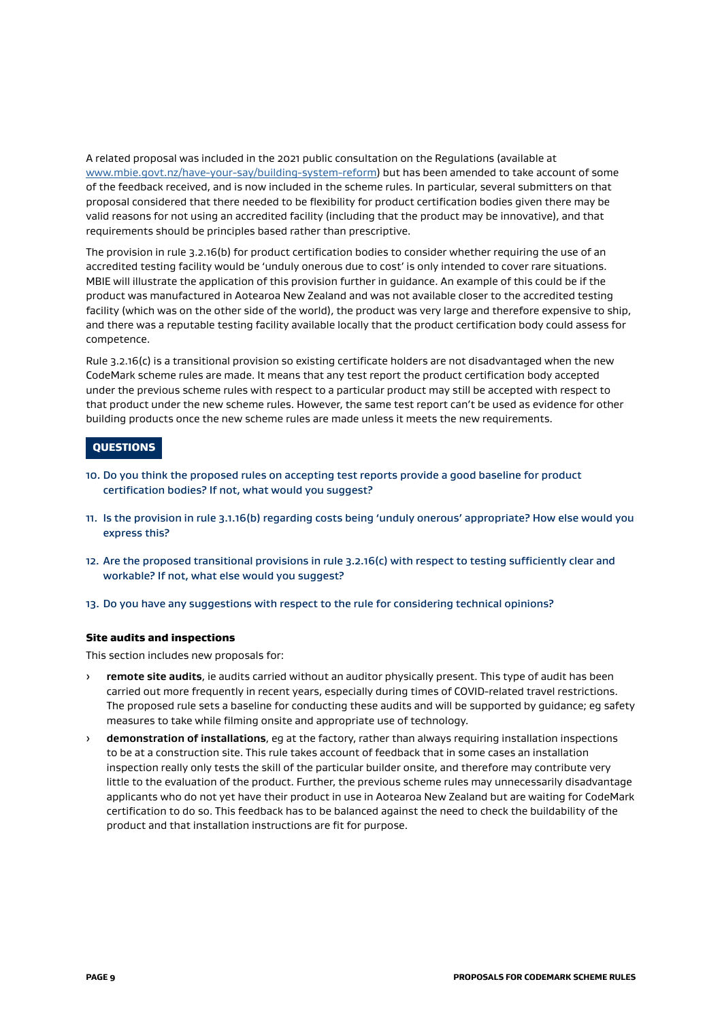A related proposal was included in the 2021 public consultation on the Regulations (available at [www.mbie.govt.nz/have-your-say/building-system-reform\)](http://www.mbie.govt.nz/have-your-say/building-system-reform) but has been amended to take account of some of the feedback received, and is now included in the scheme rules. In particular, several submitters on that proposal considered that there needed to be flexibility for product certification bodies given there may be valid reasons for not using an accredited facility (including that the product may be innovative), and that requirements should be principles based rather than prescriptive.

The provision in rule 3.2.16(b) for product certification bodies to consider whether requiring the use of an accredited testing facility would be 'unduly onerous due to cost' is only intended to cover rare situations. MBIE will illustrate the application of this provision further in guidance. An example of this could be if the product was manufactured in Aotearoa New Zealand and was not available closer to the accredited testing facility (which was on the other side of the world), the product was very large and therefore expensive to ship, and there was a reputable testing facility available locally that the product certification body could assess for competence.

Rule 3.2.16(c) is a transitional provision so existing certificate holders are not disadvantaged when the new CodeMark scheme rules are made. It means that any test report the product certification body accepted under the previous scheme rules with respect to a particular product may still be accepted with respect to that product under the new scheme rules. However, the same test report can't be used as evidence for other building products once the new scheme rules are made unless it meets the new requirements.

#### QUESTIONS

- 10. Do you think the proposed rules on accepting test reports provide a good baseline for product certification bodies? If not, what would you suggest?
- 11. Is the provision in rule 3.1.16(b) regarding costs being 'unduly onerous' appropriate? How else would you express this?
- 12. Are the proposed transitional provisions in rule 3.2.16(c) with respect to testing sufficiently clear and workable? If not, what else would you suggest?
- 13. Do you have any suggestions with respect to the rule for considering technical opinions?

#### Site audits and inspections

This section includes new proposals for:

- › **remote site audits**, ie audits carried without an auditor physically present. This type of audit has been carried out more frequently in recent years, especially during times of COVID-related travel restrictions. The proposed rule sets a baseline for conducting these audits and will be supported by guidance; eg safety measures to take while filming onsite and appropriate use of technology.
- › **demonstration of installations**, eg at the factory, rather than always requiring installation inspections to be at a construction site. This rule takes account of feedback that in some cases an installation inspection really only tests the skill of the particular builder onsite, and therefore may contribute very little to the evaluation of the product. Further, the previous scheme rules may unnecessarily disadvantage applicants who do not yet have their product in use in Aotearoa New Zealand but are waiting for CodeMark certification to do so. This feedback has to be balanced against the need to check the buildability of the product and that installation instructions are fit for purpose.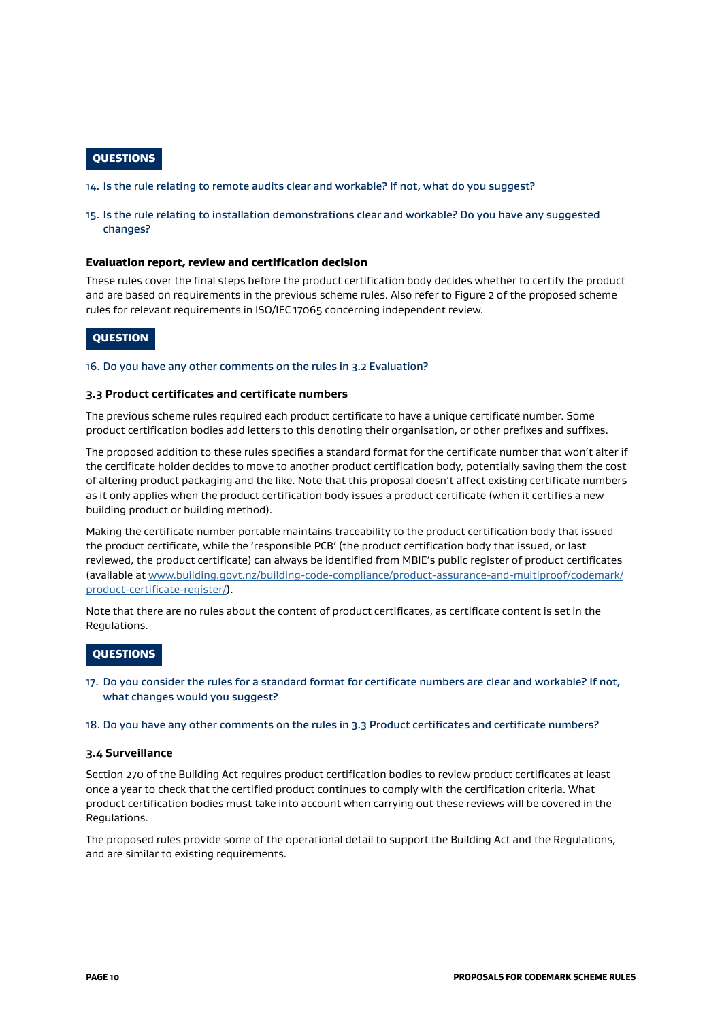#### **OUESTIONS**

14. Is the rule relating to remote audits clear and workable? If not, what do you suggest?

#### 15. Is the rule relating to installation demonstrations clear and workable? Do you have any suggested changes?

#### Evaluation report, review and certification decision

These rules cover the final steps before the product certification body decides whether to certify the product and are based on requirements in the previous scheme rules. Also refer to Figure 2 of the proposed scheme rules for relevant requirements in ISO/IEC 17065 concerning independent review.

#### **OUESTION**

#### 16. Do you have any other comments on the rules in 3.2 Evaluation?

#### **3.3 Product certificates and certificate numbers**

The previous scheme rules required each product certificate to have a unique certificate number. Some product certification bodies add letters to this denoting their organisation, or other prefixes and suffixes.

The proposed addition to these rules specifies a standard format for the certificate number that won't alter if the certificate holder decides to move to another product certification body, potentially saving them the cost of altering product packaging and the like. Note that this proposal doesn't affect existing certificate numbers as it only applies when the product certification body issues a product certificate (when it certifies a new building product or building method).

Making the certificate number portable maintains traceability to the product certification body that issued the product certificate, while the 'responsible PCB' (the product certification body that issued, or last reviewed, the product certificate) can always be identified from MBIE's public register of product certificates (available at [www.building.govt.nz/building-code-compliance/product-assurance-and-multiproof/codemark/](http://www.building.govt.nz/building-code-compliance/product-assurance-and-multiproof/codemark/product-certificate-register/) [product-certificate-register/\)](http://www.building.govt.nz/building-code-compliance/product-assurance-and-multiproof/codemark/product-certificate-register/).

Note that there are no rules about the content of product certificates, as certificate content is set in the Regulations.

#### **QUESTIONS**

- 17. Do you consider the rules for a standard format for certificate numbers are clear and workable? If not, what changes would you suggest?
- 18. Do you have any other comments on the rules in 3.3 Product certificates and certificate numbers?

#### **3.4 Surveillance**

Section 270 of the Building Act requires product certification bodies to review product certificates at least once a year to check that the certified product continues to comply with the certification criteria. What product certification bodies must take into account when carrying out these reviews will be covered in the Regulations.

The proposed rules provide some of the operational detail to support the Building Act and the Regulations, and are similar to existing requirements.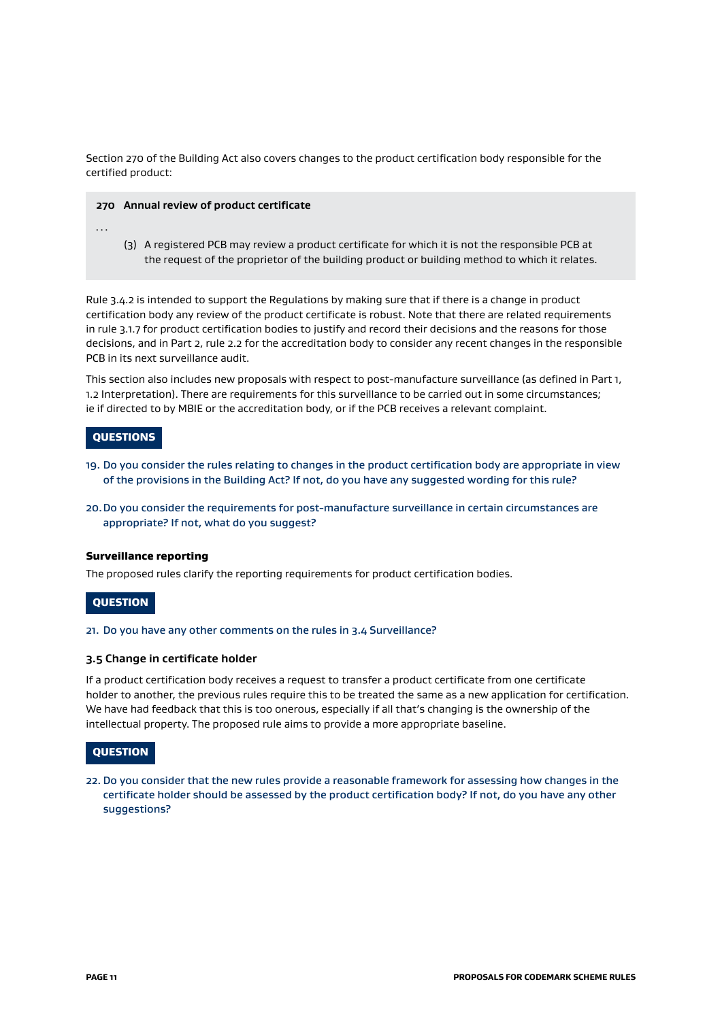Section 270 of the Building Act also covers changes to the product certification body responsible for the certified product:

#### **270 Annual review of product certificate**

- …
- (3) A registered PCB may review a product certificate for which it is not the responsible PCB at the request of the proprietor of the building product or building method to which it relates.

Rule 3.4.2 is intended to support the Regulations by making sure that if there is a change in product certification body any review of the product certificate is robust. Note that there are related requirements in rule 3.1.7 for product certification bodies to justify and record their decisions and the reasons for those decisions, and in Part 2, rule 2.2 for the accreditation body to consider any recent changes in the responsible PCB in its next surveillance audit.

This section also includes new proposals with respect to post-manufacture surveillance (as defined in Part 1, 1.2 Interpretation). There are requirements for this surveillance to be carried out in some circumstances; ie if directed to by MBIE or the accreditation body, or if the PCB receives a relevant complaint.

#### **QUESTIONS**

- 19. Do you consider the rules relating to changes in the product certification body are appropriate in view of the provisions in the Building Act? If not, do you have any suggested wording for this rule?
- 20.Do you consider the requirements for post-manufacture surveillance in certain circumstances are appropriate? If not, what do you suggest?

#### Surveillance reporting

The proposed rules clarify the reporting requirements for product certification bodies.

#### **QUESTION**

#### 21. Do you have any other comments on the rules in 3.4 Surveillance?

#### **3.5 Change in certificate holder**

If a product certification body receives a request to transfer a product certificate from one certificate holder to another, the previous rules require this to be treated the same as a new application for certification. We have had feedback that this is too onerous, especially if all that's changing is the ownership of the intellectual property. The proposed rule aims to provide a more appropriate baseline.

#### **OUESTION**

22. Do you consider that the new rules provide a reasonable framework for assessing how changes in the certificate holder should be assessed by the product certification body? If not, do you have any other suggestions?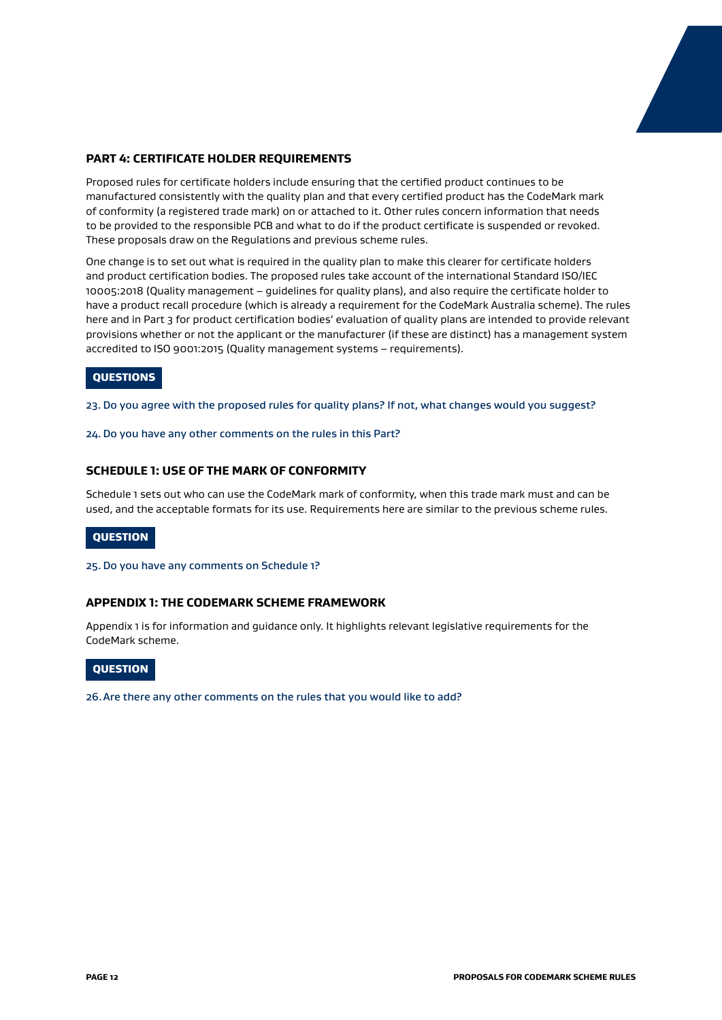#### **PART 4: CERTIFICATE HOLDER REQUIREMENTS**

Proposed rules for certificate holders include ensuring that the certified product continues to be manufactured consistently with the quality plan and that every certified product has the CodeMark mark of conformity (a registered trade mark) on or attached to it. Other rules concern information that needs to be provided to the responsible PCB and what to do if the product certificate is suspended or revoked. These proposals draw on the Regulations and previous scheme rules.

One change is to set out what is required in the quality plan to make this clearer for certificate holders and product certification bodies. The proposed rules take account of the international Standard ISO/IEC 10005:2018 (Quality management – guidelines for quality plans), and also require the certificate holder to have a product recall procedure (which is already a requirement for the CodeMark Australia scheme). The rules here and in Part 3 for product certification bodies' evaluation of quality plans are intended to provide relevant provisions whether or not the applicant or the manufacturer (if these are distinct) has a management system accredited to ISO 9001:2015 (Quality management systems – requirements).

#### QUESTIONS

23. Do you agree with the proposed rules for quality plans? If not, what changes would you suggest?

24.Do you have any other comments on the rules in this Part?

#### **SCHEDULE 1: USE OF THE MARK OF CONFORMITY**

Schedule 1 sets out who can use the CodeMark mark of conformity, when this trade mark must and can be used, and the acceptable formats for its use. Requirements here are similar to the previous scheme rules.

#### QUESTION

#### 25.Do you have any comments on Schedule 1?

#### **APPENDIX 1: THE CODEMARK SCHEME FRAMEWORK**

Appendix 1 is for information and guidance only. It highlights relevant legislative requirements for the CodeMark scheme.

#### **QUESTION**

26.Are there any other comments on the rules that you would like to add?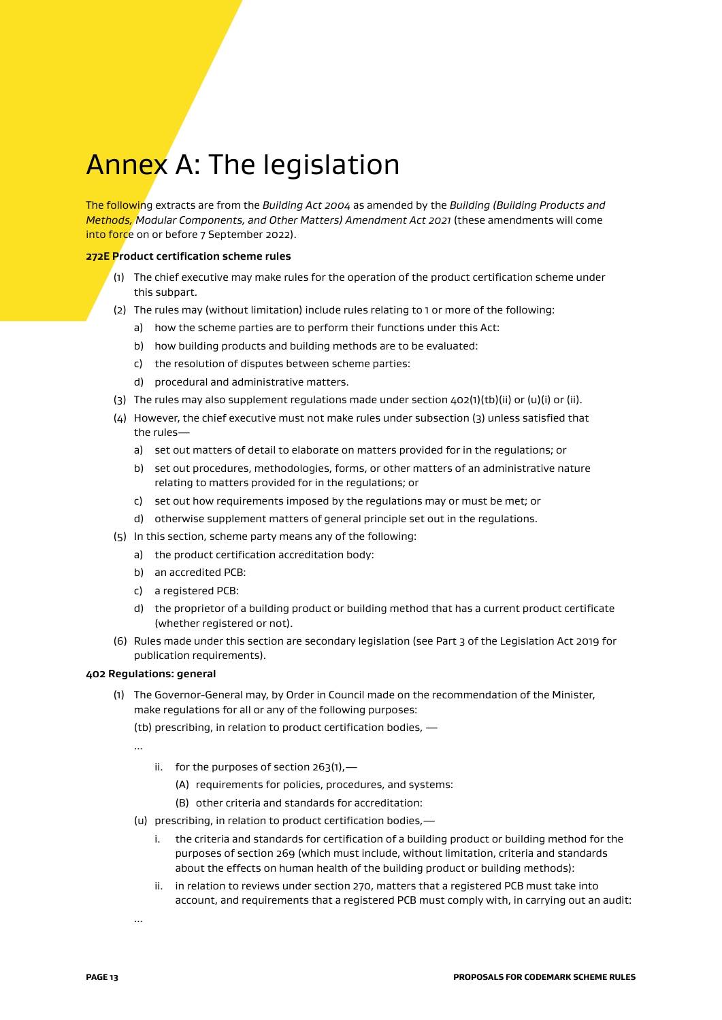# Annex A: The legislation

The following extracts are from the *Building Act 2004* as amended by the *Building (Building Products and Methods, Modular Components, and Other Matters) Amendment Act 2021* (these amendments will come into force on or before 7 September 2022).

#### **272E Product certification scheme rules**

- (1) The chief executive may make rules for the operation of the product certification scheme under this subpart.
- (2) The rules may (without limitation) include rules relating to 1 or more of the following:
	- a) how the scheme parties are to perform their functions under this Act:
	- b) how building products and building methods are to be evaluated:
	- c) the resolution of disputes between scheme parties:
	- d) procedural and administrative matters.
- (3) The rules may also supplement regulations made under section  $402(1)(tb)(ii)$  or  $(u)(i)$  or (ii).
- (4) However, the chief executive must not make rules under subsection (3) unless satisfied that the rules
	- a) set out matters of detail to elaborate on matters provided for in the regulations; or
	- b) set out procedures, methodologies, forms, or other matters of an administrative nature relating to matters provided for in the regulations; or
	- c) set out how requirements imposed by the regulations may or must be met; or
	- d) otherwise supplement matters of general principle set out in the regulations.
- (5) In this section, scheme party means any of the following:
	- a) the product certification accreditation body:
	- b) an accredited PCB:
	- c) a registered PCB:
	- d) the proprietor of a building product or building method that has a current product certificate (whether registered or not).
- (6) Rules made under this section are secondary legislation (see Part 3 of the Legislation Act 2019 for publication requirements).

#### **402 Regulations: general**

(1) The Governor-General may, by Order in Council made on the recommendation of the Minister, make regulations for all or any of the following purposes:

(tb) prescribing, in relation to product certification bodies, —

...

- ii. for the purposes of section  $263(1)$ ,
	- (A) requirements for policies, procedures, and systems:
	- (B) other criteria and standards for accreditation:
- (u) prescribing, in relation to product certification bodies,
	- i. the criteria and standards for certification of a building product or building method for the purposes of section 269 (which must include, without limitation, criteria and standards about the effects on human health of the building product or building methods):
	- ii. in relation to reviews under section 270, matters that a registered PCB must take into account, and requirements that a registered PCB must comply with, in carrying out an audit:

...